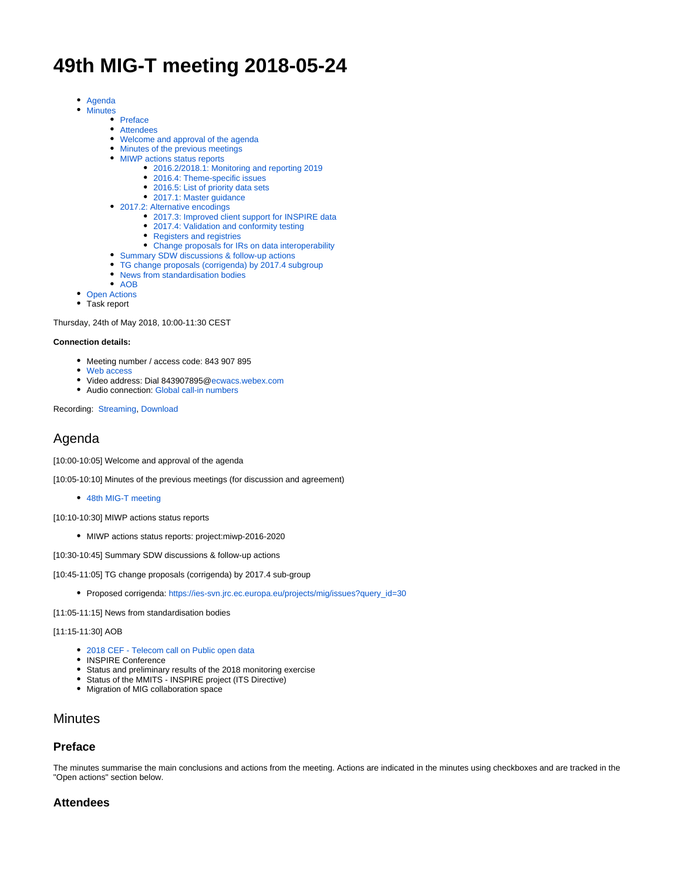# **49th MIG-T meeting 2018-05-24**

- [Agenda](#page-0-0)
- [Minutes](#page-0-1)
	- [Preface](#page-0-2)
	- [Attendees](#page-0-3)
	- [Welcome and approval of the agenda](#page-1-0)
	- [Minutes of the previous meetings](#page-1-1)
	- [MIWP actions status reports](#page-1-2)
		- [2016.2/2018.1: Monitoring and reporting 2019](#page-1-3)
		- [2016.4: Theme-specific issues](#page-1-4)
		- [2016.5: List of priority data sets](#page-1-5) [2017.1: Master guidance](#page-1-6)
	- [2017.2: Alternative encodings](#page-1-7)
		- [2017.3: Improved client support for INSPIRE data](#page-1-8)
		- [2017.4: Validation and conformity testing](#page-1-9)
		- [Registers and registries](#page-1-10)
		- [Change proposals for IRs on data interoperability](#page-1-11)
	- [Summary SDW discussions & follow-up actions](#page-1-12)
	- [TG change proposals \(corrigenda\) by 2017.4 subgroup](#page-2-0)
	- [News from standardisation bodies](#page-2-1)
	- [AOB](#page-2-2)
- [Open Actions](#page-2-3)
- Task report

Thursday, 24th of May 2018, 10:00-11:30 CEST

#### **Connection details:**

- Meeting number / access code: 843 907 895
- [Web access](https://ecwacs.webex.com/ecwacs/j.php?MTID=m0cdd2035d849857e5d765fbef8a32662)
- Video address: Dial 843907895[@ecwacs.webex.com](http://ecwacs.webex.com)
- Audio connection: [Global call-in numbers](https://ecwacs.webex.com/cmp3100/webcomponents/widget/globalcallin/globalcallin.do?siteurl=ecwacs&serviceType=MC&eventID=606328357&tollFree=0)

Recording: [Streaming,](https://ies-svn.jrc.ec.europa.eu/projects/mig/issues?query_id=30) [Download](https://ecwacs.webex.com/ecwacs/lsr.php?RCID=5d36b3641f529ede0971bc9ce77c06ee)

## <span id="page-0-0"></span>Agenda

[10:00-10:05] Welcome and approval of the agenda

[10:05-10:10] Minutes of the previous meetings (for discussion and agreement)

• [48th MIG-T meeting](https://ies-svn.jrc.ec.europa.eu/projects/mig-inspire/wiki/MIG-T_meeting_48)

[10:10-10:30] MIWP actions status reports

MIWP actions status reports: project:miwp-2016-2020

[10:30-10:45] Summary SDW discussions & follow-up actions

[10:45-11:05] TG change proposals (corrigenda) by 2017.4 sub-group

Proposed corrigenda: [https://ies-svn.jrc.ec.europa.eu/projects/mig/issues?query\\_id=30](https://ies-svn.jrc.ec.europa.eu/projects/mig/issues?query_id=30)

[11:05-11:15] News from standardisation bodies

#### [11:15-11:30] AOB

- [2018 CEF Telecom call on Public open data](https://ec.europa.eu/inea/en/connecting-europe-facility/cef-telecom/apply-funding/2018-cef-telecom-call-public-open-data)
- INSPIRE Conference
- Status and preliminary results of the 2018 monitoring exercise
- Status of the MMITS INSPIRE project (ITS Directive)
- Migration of MIG collaboration space

## <span id="page-0-1"></span>**Minutes**

#### <span id="page-0-2"></span>**Preface**

The minutes summarise the main conclusions and actions from the meeting. Actions are indicated in the minutes using checkboxes and are tracked in the "Open actions" section below.

#### <span id="page-0-3"></span>**Attendees**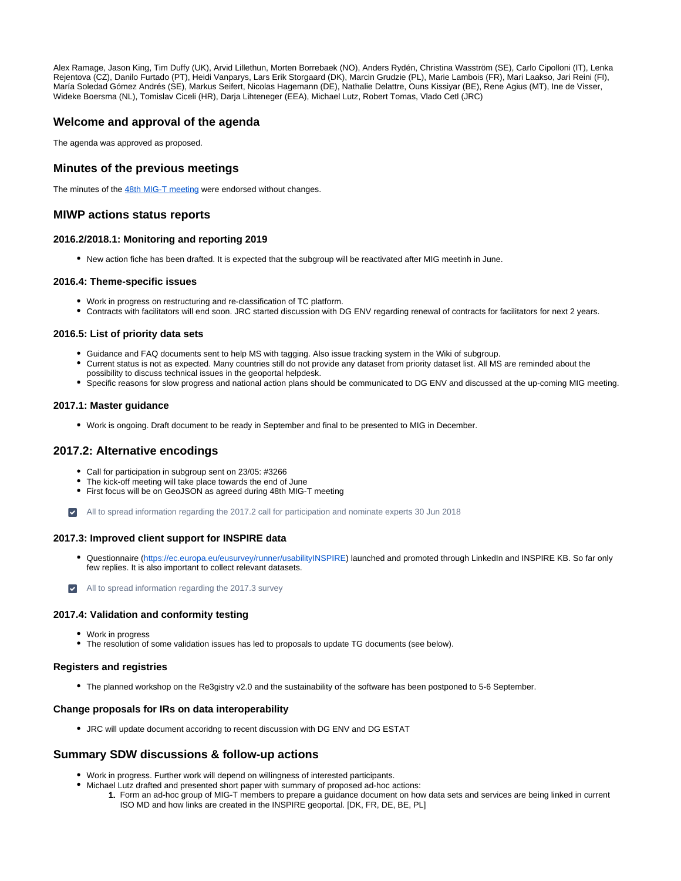Alex Ramage, Jason King, Tim Duffy (UK), Arvid Lillethun, Morten Borrebaek (NO), Anders Rydén, Christina Wasström (SE), Carlo Cipolloni (IT), Lenka Rejentova (CZ), Danilo Furtado (PT), Heidi Vanparys, Lars Erik Storgaard (DK), Marcin Grudzie (PL), Marie Lambois (FR), Mari Laakso, Jari Reini (FI), María Soledad Gómez Andrés (SE), Markus Seifert, Nicolas Hagemann (DE), Nathalie Delattre, Ouns Kissiyar (BE), Rene Agius (MT), Ine de Visser, Wideke Boersma (NL), Tomislav Ciceli (HR), Darja Lihteneger (EEA), Michael Lutz, Robert Tomas, Vlado Cetl (JRC)

## <span id="page-1-0"></span>**Welcome and approval of the agenda**

The agenda was approved as proposed.

## <span id="page-1-1"></span>**Minutes of the previous meetings**

The minutes of the [48th MIG-T meeting](https://ies-svn.jrc.ec.europa.eu/projects/mig-inspire/wiki/MIG-T_meeting_48) were endorsed without changes.

### <span id="page-1-2"></span>**MIWP actions status reports**

#### <span id="page-1-3"></span>**2016.2/2018.1: Monitoring and reporting 2019**

New action fiche has been drafted. It is expected that the subgroup will be reactivated after MIG meetinh in June.

#### <span id="page-1-4"></span>**2016.4: Theme-specific issues**

- Work in progress on restructuring and re-classification of TC platform.
- Contracts with facilitators will end soon. JRC started discussion with DG ENV regarding renewal of contracts for facilitators for next 2 years.

#### <span id="page-1-5"></span>**2016.5: List of priority data sets**

- Guidance and FAQ documents sent to help MS with tagging. Also issue tracking system in the Wiki of subgroup.
- Current status is not as expected. Many countries still do not provide any dataset from priority dataset list. All MS are reminded about the possibility to discuss technical issues in the geoportal helpdesk.
- Specific reasons for slow progress and national action plans should be communicated to DG ENV and discussed at the up-coming MIG meeting.

#### <span id="page-1-6"></span>**2017.1: Master guidance**

Work is ongoing. Draft document to be ready in September and final to be presented to MIG in December.

#### <span id="page-1-7"></span>**2017.2: Alternative encodings**

- Call for participation in subgroup sent on 23/05: #3266
- The kick-off meeting will take place towards the end of June
- First focus will be on GeoJSON as agreed during 48th MIG-T meeting
- All to spread information regarding the 2017.2 call for participation and nominate experts 30 Jun 2018

#### <span id="page-1-8"></span>**2017.3: Improved client support for INSPIRE data**

- Questionnaire [\(https://ec.europa.eu/eusurvey/runner/usabilityINSPIRE](https://ec.europa.eu/eusurvey/runner/usabilityINSPIRE)) launched and promoted through LinkedIn and INSPIRE KB. So far only few replies. It is also important to collect relevant datasets.
- All to spread information regarding the 2017.3 survey

#### <span id="page-1-9"></span>**2017.4: Validation and conformity testing**

- Work in progress
- The resolution of some validation issues has led to proposals to update TG documents (see below).

#### <span id="page-1-10"></span>**Registers and registries**

The planned workshop on the Re3gistry v2.0 and the sustainability of the software has been postponed to 5-6 September.

#### <span id="page-1-11"></span>**Change proposals for IRs on data interoperability**

JRC will update document accoridng to recent discussion with DG ENV and DG ESTAT

#### <span id="page-1-12"></span>**Summary SDW discussions & follow-up actions**

- Work in progress. Further work will depend on willingness of interested participants.
- 1. Form an ad-hoc group of MIG-T members to prepare a guidance document on how data sets and services are being linked in current Michael Lutz drafted and presented short paper with summary of proposed ad-hoc actions:
	- ISO MD and how links are created in the INSPIRE geoportal. [DK, FR, DE, BE, PL]